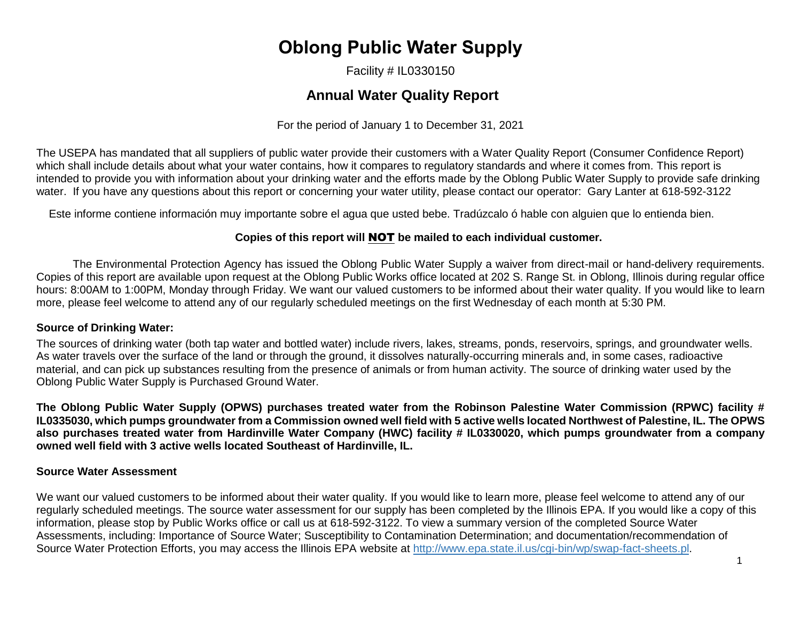# **Oblong Public Water Supply**

Facility # IL0330150

# **Annual Water Quality Report**

For the period of January 1 to December 31, 2021

The USEPA has mandated that all suppliers of public water provide their customers with a Water Quality Report (Consumer Confidence Report) which shall include details about what your water contains, how it compares to regulatory standards and where it comes from. This report is intended to provide you with information about your drinking water and the efforts made by the Oblong Public Water Supply to provide safe drinking water. If you have any questions about this report or concerning your water utility, please contact our operator: Gary Lanter at 618-592-3122

Este informe contiene información muy importante sobre el agua que usted bebe. Tradúzcalo ó hable con alguien que lo entienda bien.

### **Copies of this report will** NOT **be mailed to each individual customer.**

The Environmental Protection Agency has issued the Oblong Public Water Supply a waiver from direct-mail or hand-delivery requirements. Copies of this report are available upon request at the Oblong Public Works office located at 202 S. Range St. in Oblong, Illinois during regular office hours: 8:00AM to 1:00PM, Monday through Friday. We want our valued customers to be informed about their water quality. If you would like to learn more, please feel welcome to attend any of our regularly scheduled meetings on the first Wednesday of each month at 5:30 PM.

#### **Source of Drinking Water:**

The sources of drinking water (both tap water and bottled water) include rivers, lakes, streams, ponds, reservoirs, springs, and groundwater wells. As water travels over the surface of the land or through the ground, it dissolves naturally-occurring minerals and, in some cases, radioactive material, and can pick up substances resulting from the presence of animals or from human activity. The source of drinking water used by the Oblong Public Water Supply is Purchased Ground Water.

**The Oblong Public Water Supply (OPWS) purchases treated water from the Robinson Palestine Water Commission (RPWC) facility # IL0335030, which pumps groundwater from a Commission owned well field with 5 active wells located Northwest of Palestine, IL. The OPWS also purchases treated water from Hardinville Water Company (HWC) facility # IL0330020, which pumps groundwater from a company owned well field with 3 active wells located Southeast of Hardinville, IL.**

#### **Source Water Assessment**

We want our valued customers to be informed about their water quality. If you would like to learn more, please feel welcome to attend any of our regularly scheduled meetings. The source water assessment for our supply has been completed by the Illinois EPA. If you would like a copy of this information, please stop by Public Works office or call us at 618-592-3122. To view a summary version of the completed Source Water Assessments, including: Importance of Source Water; Susceptibility to Contamination Determination; and documentation/recommendation of Source Water Protection Efforts, you may access the Illinois EPA website at [http://www.epa.state.il.us/cgi-bin/wp/swap-fact-sheets.pl.](http://www.epa.state.il.us/cgi-bin/wp/swap-fact-sheets.pl)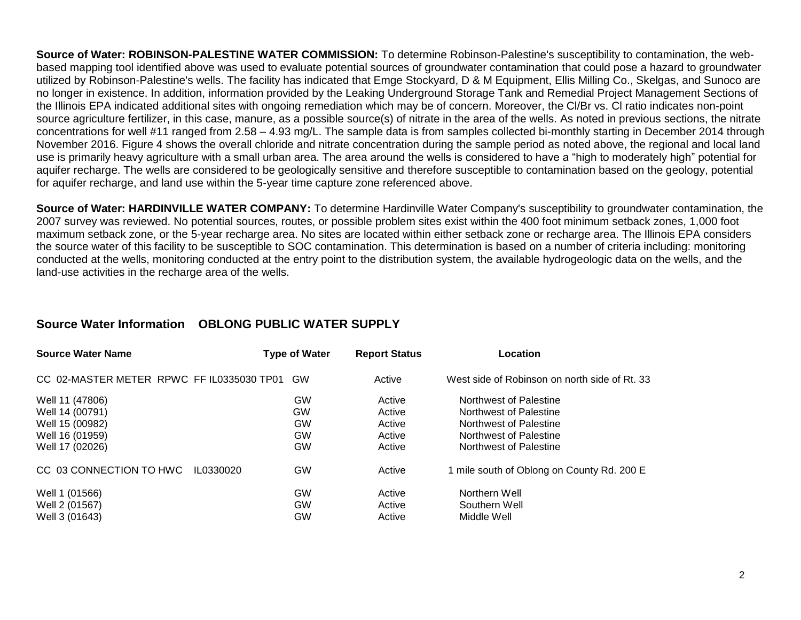**Source of Water: ROBINSON-PALESTINE WATER COMMISSION:** To determine Robinson-Palestine's susceptibility to contamination, the webbased mapping tool identified above was used to evaluate potential sources of groundwater contamination that could pose a hazard to groundwater utilized by Robinson-Palestine's wells. The facility has indicated that Emge Stockyard, D & M Equipment, Ellis Milling Co., Skelgas, and Sunoco are no longer in existence. In addition, information provided by the Leaking Underground Storage Tank and Remedial Project Management Sections of the Illinois EPA indicated additional sites with ongoing remediation which may be of concern. Moreover, the Cl/Br vs. Cl ratio indicates non-point source agriculture fertilizer, in this case, manure, as a possible source(s) of nitrate in the area of the wells. As noted in previous sections, the nitrate concentrations for well #11 ranged from 2.58 – 4.93 mg/L. The sample data is from samples collected bi-monthly starting in December 2014 through November 2016. Figure 4 shows the overall chloride and nitrate concentration during the sample period as noted above, the regional and local land use is primarily heavy agriculture with a small urban area. The area around the wells is considered to have a "high to moderately high" potential for aquifer recharge. The wells are considered to be geologically sensitive and therefore susceptible to contamination based on the geology, potential for aquifer recharge, and land use within the 5-year time capture zone referenced above.

**Source of Water: HARDINVILLE WATER COMPANY:** To determine Hardinville Water Company's susceptibility to groundwater contamination, the 2007 survey was reviewed. No potential sources, routes, or possible problem sites exist within the 400 foot minimum setback zones, 1,000 foot maximum setback zone, or the 5-year recharge area. No sites are located within either setback zone or recharge area. The Illinois EPA considers the source water of this facility to be susceptible to SOC contamination. This determination is based on a number of criteria including: monitoring conducted at the wells, monitoring conducted at the entry point to the distribution system, the available hydrogeologic data on the wells, and the land-use activities in the recharge area of the wells.

|  |  | Source Water Information  OBLONG PUBLIC WATER SUPPLY |
|--|--|------------------------------------------------------|
|--|--|------------------------------------------------------|

| <b>Source Water Name</b>                  | <b>Type of Water</b> | <b>Report Status</b> | Location                                      |
|-------------------------------------------|----------------------|----------------------|-----------------------------------------------|
| CC 02-MASTER METER RPWC FF IL0335030 TP01 | GW                   | Active               | West side of Robinson on north side of Rt. 33 |
| Well 11 (47806)                           | <b>GW</b>            | Active               | Northwest of Palestine                        |
| Well 14 (00791)                           | <b>GW</b>            | Active               | Northwest of Palestine                        |
| Well 15 (00982)                           | <b>GW</b>            | Active               | Northwest of Palestine                        |
| Well 16 (01959)                           | <b>GW</b>            | Active               | Northwest of Palestine                        |
| Well 17 (02026)                           | <b>GW</b>            | Active               | Northwest of Palestine                        |
| CC 03 CONNECTION TO HWC<br>IL0330020      | <b>GW</b>            | Active               | 1 mile south of Oblong on County Rd. 200 E    |
| Well 1 (01566)                            | GW                   | Active               | Northern Well                                 |
| Well 2 (01567)                            | <b>GW</b>            | Active               | Southern Well                                 |
| Well 3 (01643)                            | <b>GW</b>            | Active               | Middle Well                                   |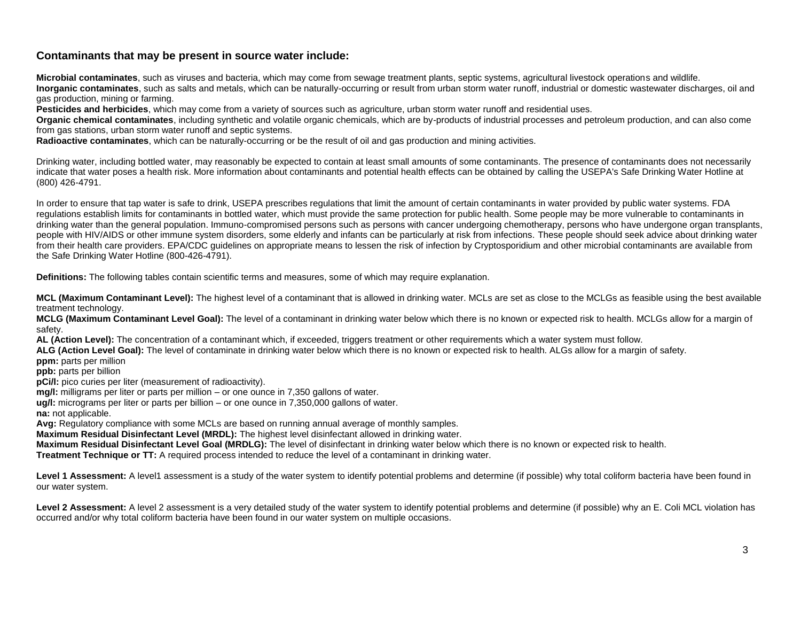#### **Contaminants that may be present in source water include:**

**Microbial contaminates**, such as viruses and bacteria, which may come from sewage treatment plants, septic systems, agricultural livestock operations and wildlife. **Inorganic contaminates**, such as salts and metals, which can be naturally-occurring or result from urban storm water runoff, industrial or domestic wastewater discharges, oil and gas production, mining or farming.

**Pesticides and herbicides**, which may come from a variety of sources such as agriculture, urban storm water runoff and residential uses.

**Organic chemical contaminates**, including synthetic and volatile organic chemicals, which are by-products of industrial processes and petroleum production, and can also come from gas stations, urban storm water runoff and septic systems.

**Radioactive contaminates**, which can be naturally-occurring or be the result of oil and gas production and mining activities.

Drinking water, including bottled water, may reasonably be expected to contain at least small amounts of some contaminants. The presence of contaminants does not necessarily indicate that water poses a health risk. More information about contaminants and potential health effects can be obtained by calling the USEPA's Safe Drinking Water Hotline at (800) 426-4791.

In order to ensure that tap water is safe to drink, USEPA prescribes regulations that limit the amount of certain contaminants in water provided by public water systems. FDA regulations establish limits for contaminants in bottled water, which must provide the same protection for public health. Some people may be more vulnerable to contaminants in drinking water than the general population. Immuno-compromised persons such as persons with cancer undergoing chemotherapy, persons who have undergone organ transplants, people with HIV/AIDS or other immune system disorders, some elderly and infants can be particularly at risk from infections. These people should seek advice about drinking water from their health care providers. EPA/CDC guidelines on appropriate means to lessen the risk of infection by Cryptosporidium and other microbial contaminants are available from the Safe Drinking Water Hotline (800-426-4791).

**Definitions:** The following tables contain scientific terms and measures, some of which may require explanation.

**MCL (Maximum Contaminant Level):** The highest level of a contaminant that is allowed in drinking water. MCLs are set as close to the MCLGs as feasible using the best available treatment technology.

**MCLG (Maximum Contaminant Level Goal):** The level of a contaminant in drinking water below which there is no known or expected risk to health. MCLGs allow for a margin of safety.

**AL (Action Level):** The concentration of a contaminant which, if exceeded, triggers treatment or other requirements which a water system must follow.

**ALG (Action Level Goal):** The level of contaminate in drinking water below which there is no known or expected risk to health. ALGs allow for a margin of safety.

**ppm:** parts per million

**ppb:** parts per billion

**pCi/I:** pico curies per liter (measurement of radioactivity).

**mg/l:** milligrams per liter or parts per million – or one ounce in 7,350 gallons of water.

**ug/l:** micrograms per liter or parts per billion – or one ounce in 7,350,000 gallons of water.

**na:** not applicable.

**Avg:** Regulatory compliance with some MCLs are based on running annual average of monthly samples.

**Maximum Residual Disinfectant Level (MRDL):** The highest level disinfectant allowed in drinking water.

**Maximum Residual Disinfectant Level Goal (MRDLG):** The level of disinfectant in drinking water below which there is no known or expected risk to health.

**Treatment Technique or TT:** A required process intended to reduce the level of a contaminant in drinking water.

Level 1 Assessment: A level1 assessment is a study of the water system to identify potential problems and determine (if possible) why total coliform bacteria have been found in our water system.

Level 2 Assessment: A level 2 assessment is a very detailed study of the water system to identify potential problems and determine (if possible) why an E. Coli MCL violation has occurred and/or why total coliform bacteria have been found in our water system on multiple occasions.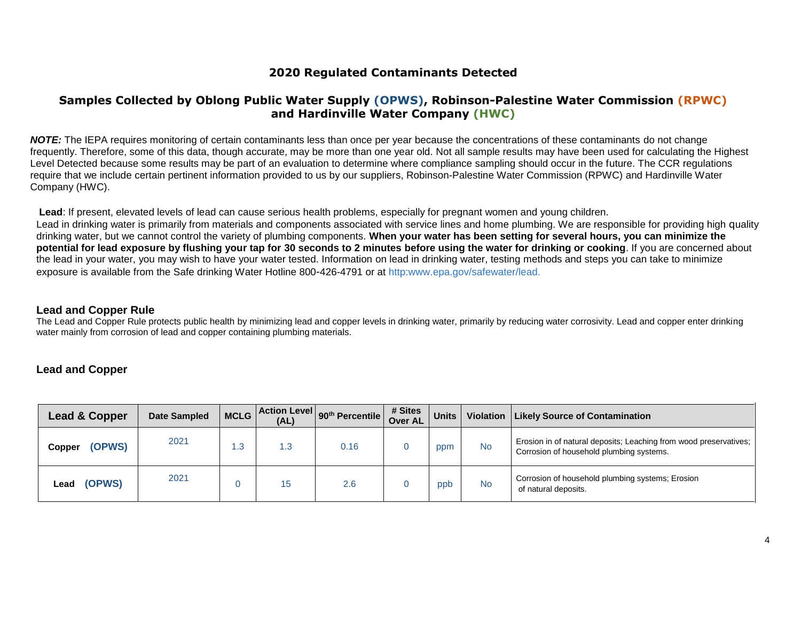### **2020 Regulated Contaminants Detected**

### **Samples Collected by Oblong Public Water Supply (OPWS), Robinson-Palestine Water Commission (RPWC) and Hardinville Water Company (HWC)**

*NOTE:* The IEPA requires monitoring of certain contaminants less than once per year because the concentrations of these contaminants do not change frequently. Therefore, some of this data, though accurate, may be more than one year old. Not all sample results may have been used for calculating the Highest Level Detected because some results may be part of an evaluation to determine where compliance sampling should occur in the future. The CCR regulations require that we include certain pertinent information provided to us by our suppliers, Robinson-Palestine Water Commission (RPWC) and Hardinville Water Company (HWC).

**Lead**: If present, elevated levels of lead can cause serious health problems, especially for pregnant women and young children. Lead in drinking water is primarily from materials and components associated with service lines and home plumbing. We are responsible for providing high quality drinking water, but we cannot control the variety of plumbing components. **When your water has been setting for several hours, you can minimize the potential for lead exposure by flushing your tap for 30 seconds to 2 minutes before using the water for drinking or cooking**. If you are concerned about the lead in your water, you may wish to have your water tested. Information on lead in drinking water, testing methods and steps you can take to minimize exposure is available from the Safe drinking Water Hotline 800-426-4791 or at http:www.epa.gov/safewater/lead.

#### **Lead and Copper Rule**

The Lead and Copper Rule protects public health by minimizing lead and copper levels in drinking water, primarily by reducing water corrosivity. Lead and copper enter drinking water mainly from corrosion of lead and copper containing plumbing materials.

#### **Lead and Copper**

| Lead & Copper    | <b>Date Sampled</b> | <b>MCLG</b> | (AL) | $\sim$   Action Level $ 90^{th}$ Percentile $ ^{m}$ | # Sites<br><b>Over AL</b> | <b>Units</b> |           | Violation   Likely Source of Contamination                                                                    |
|------------------|---------------------|-------------|------|-----------------------------------------------------|---------------------------|--------------|-----------|---------------------------------------------------------------------------------------------------------------|
| (OPWS)<br>Copper | 2021                | .3          | . .3 | 0.16                                                |                           | ppm          | <b>No</b> | Erosion in of natural deposits; Leaching from wood preservatives;<br>Corrosion of household plumbing systems. |
| (OPWS)<br>∟ead   | 2021                |             | 15   | 2.6                                                 |                           | ppb          | <b>No</b> | Corrosion of household plumbing systems; Erosion<br>of natural deposits.                                      |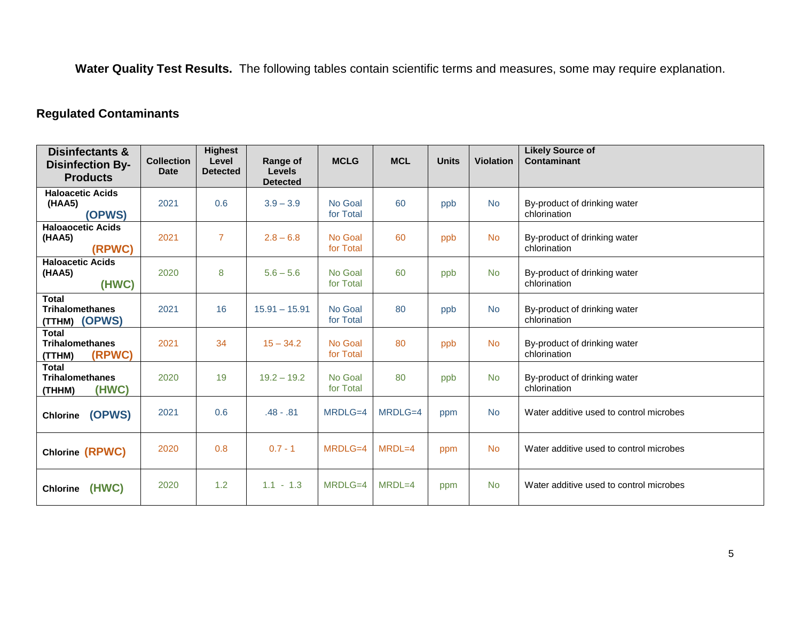**Water Quality Test Results.** The following tables contain scientific terms and measures, some may require explanation.

# **Regulated Contaminants**

| <b>Disinfectants &amp;</b><br><b>Disinfection By-</b><br><b>Products</b> | <b>Collection</b><br><b>Date</b> | <b>Highest</b><br>Level<br><b>Detected</b> | Range of<br><b>Levels</b><br><b>Detected</b> | <b>MCLG</b>          | <b>MCL</b> | <b>Units</b> | <b>Violation</b> | <b>Likely Source of</b><br>Contaminant       |
|--------------------------------------------------------------------------|----------------------------------|--------------------------------------------|----------------------------------------------|----------------------|------------|--------------|------------------|----------------------------------------------|
| <b>Haloacetic Acids</b><br>(HAA5)<br>(OPWS)                              | 2021                             | 0.6                                        | $3.9 - 3.9$                                  | No Goal<br>for Total | 60         | ppb          | <b>No</b>        | By-product of drinking water<br>chlorination |
| <b>Haloaocetic Acids</b><br>(HAA5)<br>(RPWC)                             | 2021                             | $\overline{7}$                             | $2.8 - 6.8$                                  | No Goal<br>for Total | 60         | ppb          | <b>No</b>        | By-product of drinking water<br>chlorination |
| <b>Haloacetic Acids</b><br>(HAA5)<br>(HWC)                               | 2020                             | 8                                          | $5.6 - 5.6$                                  | No Goal<br>for Total | 60         | ppb          | <b>No</b>        | By-product of drinking water<br>chlorination |
| <b>Total</b><br><b>Trihalomethanes</b><br>(TTHM) (OPWS)                  | 2021                             | 16                                         | $15.91 - 15.91$                              | No Goal<br>for Total | 80         | ppb          | <b>No</b>        | By-product of drinking water<br>chlorination |
| <b>Total</b><br><b>Trihalomethanes</b><br>(RPWC)<br>(TTHM)               | 2021                             | 34                                         | $15 - 34.2$                                  | No Goal<br>for Total | 80         | ppb          | <b>No</b>        | By-product of drinking water<br>chlorination |
| <b>Total</b><br><b>Trihalomethanes</b><br>(HWC)<br>(THHM)                | 2020                             | 19                                         | $19.2 - 19.2$                                | No Goal<br>for Total | 80         | ppb          | <b>No</b>        | By-product of drinking water<br>chlorination |
| (OPWS)<br><b>Chlorine</b>                                                | 2021                             | 0.6                                        | $.48 - .81$                                  | MRDLG=4              | MRDLG=4    | ppm          | <b>No</b>        | Water additive used to control microbes      |
| Chlorine (RPWC)                                                          | 2020                             | 0.8                                        | $0.7 - 1$                                    | MRDLG=4              | MRDL=4     | ppm          | <b>No</b>        | Water additive used to control microbes      |
| Chlorine (HWC)                                                           | 2020                             | 1.2                                        | $1.1 - 1.3$                                  | MRDLG=4              | $MRDL=4$   | ppm          | <b>No</b>        | Water additive used to control microbes      |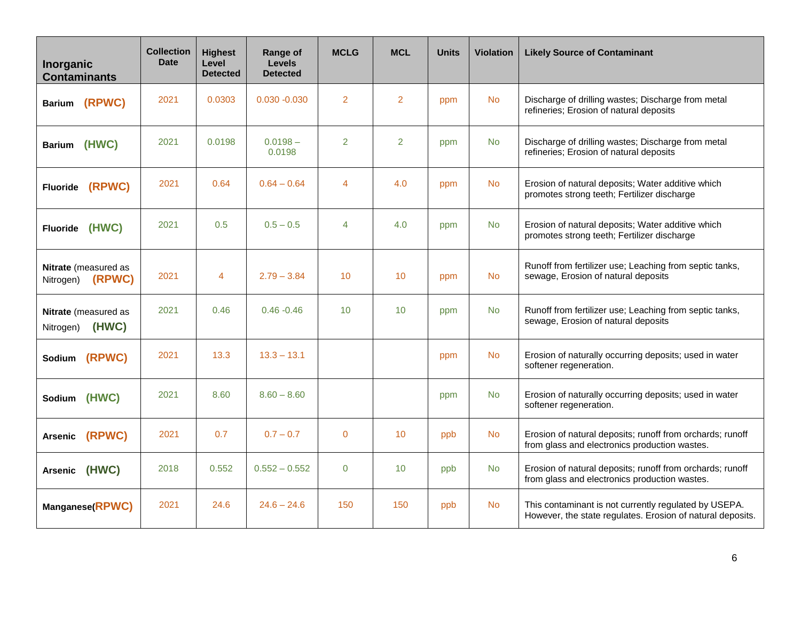| Inorganic<br><b>Contaminants</b>           | <b>Collection</b><br><b>Date</b> | <b>Highest</b><br>Level<br><b>Detected</b> | Range of<br><b>Levels</b><br><b>Detected</b> | <b>MCLG</b>    | <b>MCL</b>      | <b>Units</b> | <b>Violation</b> | <b>Likely Source of Contaminant</b>                                                                                 |
|--------------------------------------------|----------------------------------|--------------------------------------------|----------------------------------------------|----------------|-----------------|--------------|------------------|---------------------------------------------------------------------------------------------------------------------|
| Barium (RPWC)                              | 2021                             | 0.0303                                     | $0.030 - 0.030$                              | 2              | $\overline{2}$  | ppm          | <b>No</b>        | Discharge of drilling wastes; Discharge from metal<br>refineries; Erosion of natural deposits                       |
| Barium (HWC)                               | 2021                             | 0.0198                                     | $0.0198 -$<br>0.0198                         | $\overline{2}$ | $\overline{2}$  | ppm          | <b>No</b>        | Discharge of drilling wastes; Discharge from metal<br>refineries; Erosion of natural deposits                       |
| Fluoride (RPWC)                            | 2021                             | 0.64                                       | $0.64 - 0.64$                                | $\overline{4}$ | 4.0             | ppm          | <b>No</b>        | Erosion of natural deposits; Water additive which<br>promotes strong teeth; Fertilizer discharge                    |
| Fluoride (HWC)                             | 2021                             | 0.5                                        | $0.5 - 0.5$                                  | $\overline{4}$ | 4.0             | ppm          | <b>No</b>        | Erosion of natural deposits; Water additive which<br>promotes strong teeth; Fertilizer discharge                    |
| Nitrate (measured as<br>Nitrogen) (RPWC)   | 2021                             | 4                                          | $2.79 - 3.84$                                | 10             | 10 <sup>°</sup> | ppm          | <b>No</b>        | Runoff from fertilizer use; Leaching from septic tanks,<br>sewage, Erosion of natural deposits                      |
| Nitrate (measured as<br>(HWC)<br>Nitrogen) | 2021                             | 0.46                                       | $0.46 - 0.46$                                | 10             | 10              | ppm          | <b>No</b>        | Runoff from fertilizer use; Leaching from septic tanks,<br>sewage, Erosion of natural deposits                      |
| Sodium (RPWC)                              | 2021                             | 13.3                                       | $13.3 - 13.1$                                |                |                 | ppm          | <b>No</b>        | Erosion of naturally occurring deposits; used in water<br>softener regeneration.                                    |
| Sodium (HWC)                               | 2021                             | 8.60                                       | $8.60 - 8.60$                                |                |                 | ppm          | <b>No</b>        | Erosion of naturally occurring deposits; used in water<br>softener regeneration.                                    |
| Arsenic (RPWC)                             | 2021                             | 0.7                                        | $0.7 - 0.7$                                  | $\mathbf{0}$   | 10 <sup>°</sup> | ppb          | <b>No</b>        | Erosion of natural deposits; runoff from orchards; runoff<br>from glass and electronics production wastes.          |
| (HWC)<br><b>Arsenic</b>                    | 2018                             | 0.552                                      | $0.552 - 0.552$                              | $\overline{0}$ | 10              | ppb          | <b>No</b>        | Erosion of natural deposits; runoff from orchards; runoff<br>from glass and electronics production wastes.          |
| Manganese(RPWC)                            | 2021                             | 24.6                                       | $24.6 - 24.6$                                | 150            | 150             | ppb          | <b>No</b>        | This contaminant is not currently regulated by USEPA.<br>However, the state regulates. Erosion of natural deposits. |